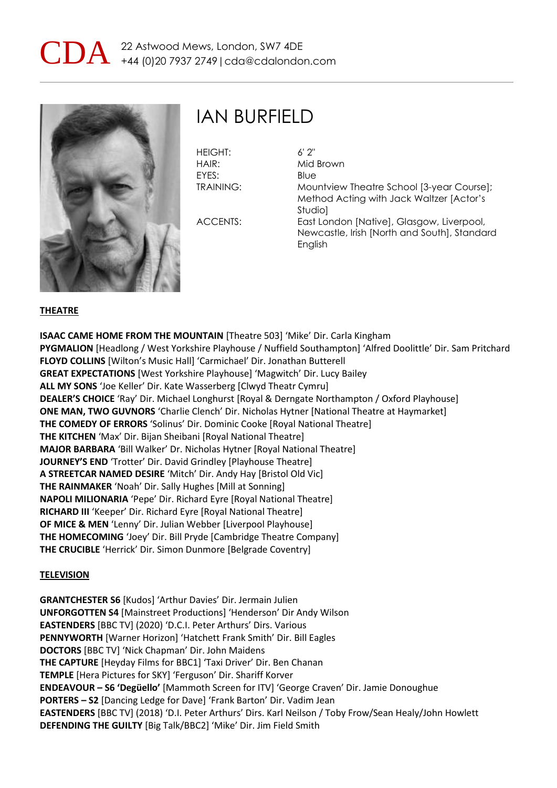



### IAN BURFIELD

| <b>HEIGHT:</b>   | $6'$ 2" |
|------------------|---------|
| HAIR:            | Mid     |
| FYFS:            | Blue    |
| <b>TRAINING:</b> | Mol     |

Mid Brown Blue Mountview Theatre School [3-year Course]; Method Acting with Jack Waltzer [Actor's Studio] ACCENTS: East London [Native], Glasgow, Liverpool, Newcastle, Irish [North and South], Standard **English** 

#### **THEATRE**

**ISAAC CAME HOME FROM THE MOUNTAIN** [Theatre 503] 'Mike' Dir. Carla Kingham **PYGMALION** [Headlong / West Yorkshire Playhouse / Nuffield Southampton] 'Alfred Doolittle' Dir. Sam Pritchard **FLOYD COLLINS** [Wilton's Music Hall] 'Carmichael' Dir. Jonathan Butterell **GREAT EXPECTATIONS** [West Yorkshire Playhouse] 'Magwitch' Dir. Lucy Bailey **ALL MY SONS** 'Joe Keller' Dir. Kate Wasserberg [Clwyd Theatr Cymru] **DEALER'S CHOICE** 'Ray' Dir. Michael Longhurst [Royal & Derngate Northampton / Oxford Playhouse] **ONE MAN, TWO GUVNORS** 'Charlie Clench' Dir. Nicholas Hytner [National Theatre at Haymarket] **THE COMEDY OF ERRORS** 'Solinus' Dir. Dominic Cooke [Royal National Theatre] **THE KITCHEN** 'Max' Dir. Bijan Sheibani [Royal National Theatre] **MAJOR BARBARA** 'Bill Walker' Dr. Nicholas Hytner [Royal National Theatre] **JOURNEY'S END** 'Trotter' Dir. David Grindley [Playhouse Theatre] **A STREETCAR NAMED DESIRE** 'Mitch' Dir. Andy Hay [Bristol Old Vic] **THE RAINMAKER** 'Noah' Dir. Sally Hughes [Mill at Sonning] **NAPOLI MILIONARIA** 'Pepe' Dir. Richard Eyre [Royal National Theatre] **RICHARD III** 'Keeper' Dir. Richard Eyre [Royal National Theatre] **OF MICE & MEN** 'Lenny' Dir. Julian Webber [Liverpool Playhouse] **THE HOMECOMING** 'Joey' Dir. Bill Pryde [Cambridge Theatre Company] **THE CRUCIBLE** 'Herrick' Dir. Simon Dunmore [Belgrade Coventry]

#### **TELEVISION**

**GRANTCHESTER S6** [Kudos] 'Arthur Davies' Dir. Jermain Julien **UNFORGOTTEN S4** [Mainstreet Productions] 'Henderson' Dir Andy Wilson **EASTENDERS** [BBC TV] (2020) 'D.C.I. Peter Arthurs' Dirs. Various **PENNYWORTH** [Warner Horizon] 'Hatchett Frank Smith' Dir. Bill Eagles **DOCTORS** [BBC TV] 'Nick Chapman' Dir. John Maidens **THE CAPTURE** [Heyday Films for BBC1] 'Taxi Driver' Dir. Ben Chanan **TEMPLE** [Hera Pictures for SKY] 'Ferguson' Dir. Shariff Korver **ENDEAVOUR – S6 'Degüello'** [Mammoth Screen for ITV] 'George Craven' Dir. Jamie Donoughue **PORTERS – S2** [Dancing Ledge for Dave] 'Frank Barton' Dir. Vadim Jean **EASTENDERS** [BBC TV] (2018) 'D.I. Peter Arthurs' Dirs. Karl Neilson / Toby Frow/Sean Healy/John Howlett **DEFENDING THE GUILTY** [Big Talk/BBC2] 'Mike' Dir. Jim Field Smith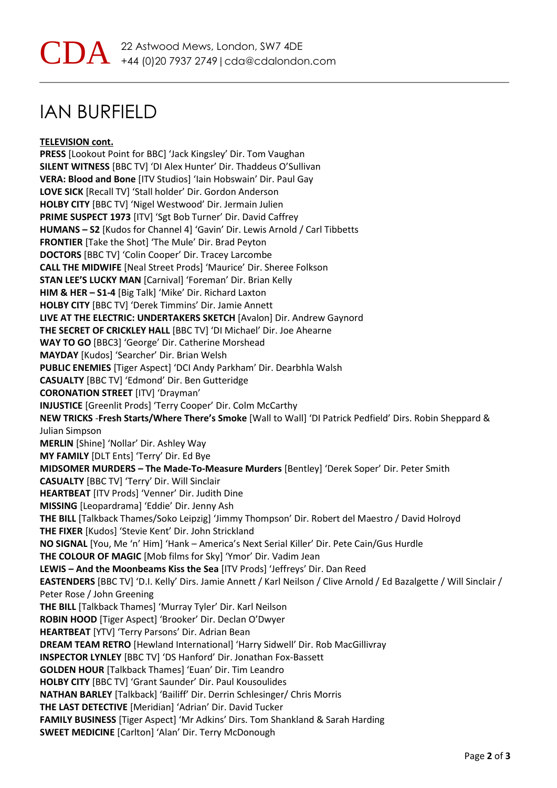# IAN BURFIELD

**TELEVISION cont.**

**PRESS** [Lookout Point for BBC] 'Jack Kingsley' Dir. Tom Vaughan **SILENT WITNESS** [BBC TV] 'DI Alex Hunter' Dir. Thaddeus O'Sullivan **VERA: Blood and Bone** [ITV Studios] 'Iain Hobswain' Dir. Paul Gay **LOVE SICK** [Recall TV] 'Stall holder' Dir. Gordon Anderson **HOLBY CITY** [BBC TV] 'Nigel Westwood' Dir. Jermain Julien **PRIME SUSPECT 1973** [ITV] 'Sgt Bob Turner' Dir. David Caffrey **HUMANS – S2** [Kudos for Channel 4] 'Gavin' Dir. Lewis Arnold / Carl Tibbetts **FRONTIER** [Take the Shot] 'The Mule' Dir. Brad Peyton **DOCTORS** [BBC TV] 'Colin Cooper' Dir. Tracey Larcombe **CALL THE MIDWIFE** [Neal Street Prods] 'Maurice' Dir. Sheree Folkson **STAN LEE'S LUCKY MAN** [Carnival] 'Foreman' Dir. Brian Kelly **HIM & HER – S1-4** [Big Talk] 'Mike' Dir. Richard Laxton **HOLBY CITY** [BBC TV] 'Derek Timmins' Dir. Jamie Annett **LIVE AT THE ELECTRIC: UNDERTAKERS SKETCH** [Avalon] Dir. Andrew Gaynord **THE SECRET OF CRICKLEY HALL** [BBC TV] 'DI Michael' Dir. Joe Ahearne **WAY TO GO** [BBC3] 'George' Dir. Catherine Morshead **MAYDAY** [Kudos] 'Searcher' Dir. Brian Welsh **PUBLIC ENEMIES** [Tiger Aspect] 'DCI Andy Parkham' Dir. Dearbhla Walsh **CASUALTY** [BBC TV] 'Edmond' Dir. Ben Gutteridge **CORONATION STREET** [ITV] 'Drayman' **INJUSTICE** [Greenlit Prods] 'Terry Cooper' Dir. Colm McCarthy **NEW TRICKS** -**Fresh Starts/Where There's Smoke** [Wall to Wall] 'DI Patrick Pedfield' Dirs. Robin Sheppard & Julian Simpson **MERLIN** [Shine] 'Nollar' Dir. Ashley Way **MY FAMILY** [DLT Ents] 'Terry' Dir. Ed Bye **MIDSOMER MURDERS – The Made-To-Measure Murders** [Bentley] 'Derek Soper' Dir. Peter Smith **CASUALTY** [BBC TV] 'Terry' Dir. Will Sinclair **HEARTBEAT** [ITV Prods] 'Venner' Dir. Judith Dine **MISSING** [Leopardrama] 'Eddie' Dir. Jenny Ash **THE BILL** [Talkback Thames/Soko Leipzig] 'Jimmy Thompson' Dir. Robert del Maestro / David Holroyd **THE FIXER** [Kudos] 'Stevie Kent' Dir. John Strickland **NO SIGNAL** [You, Me 'n' Him] 'Hank – America's Next Serial Killer' Dir. Pete Cain/Gus Hurdle **THE COLOUR OF MAGIC** [Mob films for Sky] 'Ymor' Dir. Vadim Jean **LEWIS – And the Moonbeams Kiss the Sea** [ITV Prods] 'Jeffreys' Dir. Dan Reed **EASTENDERS** [BBC TV] 'D.I. Kelly' Dirs. Jamie Annett / Karl Neilson / Clive Arnold / Ed Bazalgette / Will Sinclair / Peter Rose / John Greening **THE BILL** [Talkback Thames] 'Murray Tyler' Dir. Karl Neilson **ROBIN HOOD** [Tiger Aspect] 'Brooker' Dir. Declan O'Dwyer **HEARTBEAT** [YTV] 'Terry Parsons' Dir. Adrian Bean **DREAM TEAM RETRO** [Hewland International] 'Harry Sidwell' Dir. Rob MacGillivray **INSPECTOR LYNLEY** [BBC TV] 'DS Hanford' Dir. Jonathan Fox-Bassett **GOLDEN HOUR** [Talkback Thames] 'Euan' Dir. Tim Leandro **HOLBY CITY** [BBC TV] 'Grant Saunder' Dir. Paul Kousoulides **NATHAN BARLEY** [Talkback] 'Bailiff' Dir. Derrin Schlesinger/ Chris Morris **THE LAST DETECTIVE** [Meridian] 'Adrian' Dir. David Tucker **FAMILY BUSINESS** [Tiger Aspect] 'Mr Adkins' Dirs. Tom Shankland & Sarah Harding **SWEET MEDICINE** [Carlton] 'Alan' Dir. Terry McDonough